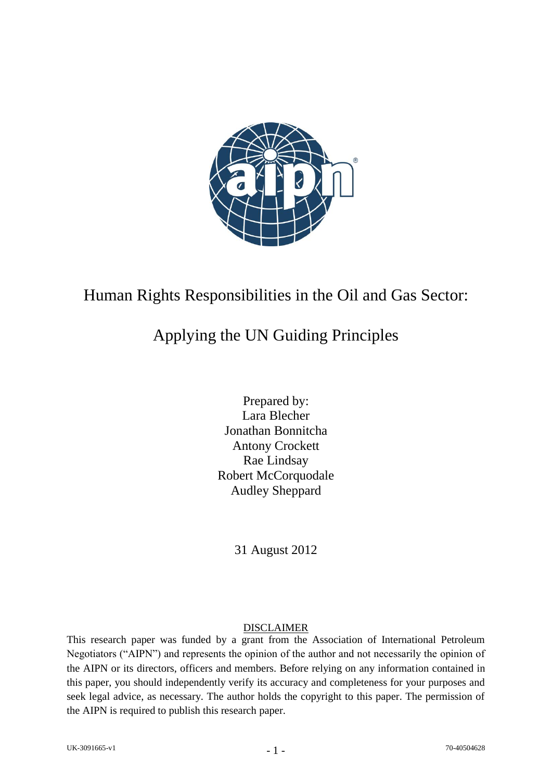

## Human Rights Responsibilities in the Oil and Gas Sector:

## Applying the UN Guiding Principles

Prepared by: Lara Blecher Jonathan Bonnitcha Antony Crockett Rae Lindsay Robert McCorquodale Audley Sheppard

31 August 2012

## DISCLAIMER

This research paper was funded by a grant from the Association of International Petroleum Negotiators ("AIPN") and represents the opinion of the author and not necessarily the opinion of the AIPN or its directors, officers and members. Before relying on any information contained in this paper, you should independently verify its accuracy and completeness for your purposes and seek legal advice, as necessary. The author holds the copyright to this paper. The permission of the AIPN is required to publish this research paper.